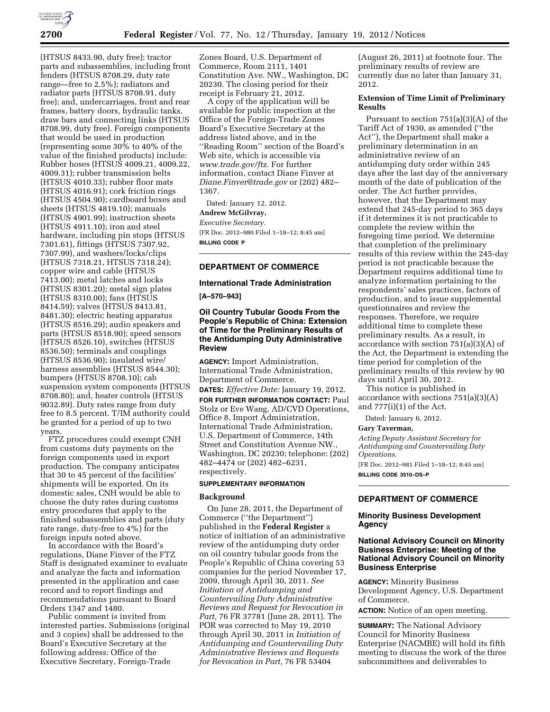

(HTSUS 8433.90, duty free); tractor parts and subassemblies, including front fenders (HTSUS 8708.29, duty rate range—free to 2.5%); radiators and radiator parts (HTSUS 8708.91, duty free); and, undercarriages, front and rear frames, battery doors, hydraulic tanks, draw bars and connecting links (HTSUS 8708.99, duty free). Foreign components that would be used in production (representing some 30% to 40% of the value of the finished products) include: Rubber hoses (HTSUS 4009.21, 4009.22, 4009.31); rubber transmission belts (HTSUS 4010.33); rubber floor mats (HTSUS 4016.91); cork friction rings (HTSUS 4504.90); cardboard boxes and sheets (HTSUS 4819.10); manuals (HTSUS 4901.99); instruction sheets (HTSUS 4911.10); iron and steel hardware, including pin stops (HTSUS 7301.61), fittings (HTSUS 7307.92, 7307.99), and washers/locks/clips (HTSUS 7318.21, HTSUS 7318.24); copper wire and cable (HTSUS 7413.00); metal latches and locks (HTSUS 8301.20); metal sign plates (HTSUS 8310.00); fans (HTSUS 8414.59); valves (HTSUS 8413.81, 8481.30); electric heating apparatus (HTSUS 8516.29); audio speakers and parts (HTSUS 8518.90); speed sensors (HTSUS 8526.10), switches (HTSUS 8536.50); terminals and couplings (HTSUS 8536.90); insulated wire/ harness assemblies (HTSUS 8544.30); bumpers (HTSUS 8708.10); cab suspension system components (HTSUS 8708.80); and, heater controls (HTSUS 9032.89). Duty rates range from duty free to 8.5 percent. T/IM authority could be granted for a period of up to two years.

FTZ procedures could exempt CNH from customs duty payments on the foreign components used in export production. The company anticipates that 30 to 45 percent of the facilities' shipments will be exported. On its domestic sales, CNH would be able to choose the duty rates during customs entry procedures that apply to the finished subassemblies and parts (duty rate range, duty-free to 4%) for the foreign inputs noted above.

In accordance with the Board's regulations, Diane Finver of the FTZ Staff is designated examiner to evaluate and analyze the facts and information presented in the application and case record and to report findings and recommendations pursuant to Board Orders 1347 and 1480.

Public comment is invited from interested parties. Submissions (original and 3 copies) shall be addressed to the Board's Executive Secretary at the following address: Office of the Executive Secretary, Foreign-Trade

Zones Board, U.S. Department of Commerce, Room 2111, 1401 Constitution Ave. NW., Washington, DC 20230. The closing period for their receipt is February 21, 2012.

A copy of the application will be available for public inspection at the Office of the Foreign-Trade Zones Board's Executive Secretary at the address listed above, and in the ''Reading Room'' section of the Board's Web site, which is accessible via *[www.trade.gov/ftz.](http://www.trade.gov/ftz)* For further information, contact Diane Finver at *[Diane.Finver@trade.gov](mailto:Diane.Finver@trade.gov)* or (202) 482– 1367.

Dated: January 12, 2012.

# **Andrew McGilvray,**

*Executive Secretary.*  [FR Doc. 2012–980 Filed 1–18–12; 8:45 am] **BILLING CODE P** 

## **DEPARTMENT OF COMMERCE**

### **International Trade Administration**

**[A–570–943]** 

### **Oil Country Tubular Goods From the People's Republic of China: Extension of Time for the Preliminary Results of the Antidumping Duty Administrative Review**

**AGENCY:** Import Administration, International Trade Administration, Department of Commerce.

**DATES:** *Effective Date:* January 19, 2012. **FOR FURTHER INFORMATION CONTACT:** Paul Stolz or Eve Wang, AD/CVD Operations, Office 8, Import Administration, International Trade Administration, U.S. Department of Commerce, 14th Street and Constitution Avenue NW., Washington, DC 20230; telephone: (202) 482–4474 or (202) 482–6231, respectively.

#### **SUPPLEMENTARY INFORMATION**

#### **Background**

On June 28, 2011, the Department of Commerce (''the Department'') published in the **Federal Register** a notice of initiation of an administrative review of the antidumping duty order on oil country tubular goods from the People's Republic of China covering 53 companies for the period November 17, 2009, through April 30, 2011. *See Initiation of Antidumping and Countervailing Duty Administrative Reviews and Request for Revocation in Part,* 76 FR 37781 (June 28, 2011). The POR was corrected to May 19, 2010 through April 30, 2011 in *Initiation of Antidumping and Countervailing Duty Administrative Reviews and Requests for Revocation in Part,* 76 FR 53404

(August 26, 2011) at footnote four. The preliminary results of review are currently due no later than January 31, 2012.

### **Extension of Time Limit of Preliminary Results**

Pursuant to section 751(a)(3)(A) of the Tariff Act of 1930, as amended (''the Act''), the Department shall make a preliminary determination in an administrative review of an antidumping duty order within 245 days after the last day of the anniversary month of the date of publication of the order. The Act further provides, however, that the Department may extend that 245-day period to 365 days if it determines it is not practicable to complete the review within the foregoing time period. We determine that completion of the preliminary results of this review within the 245-day period is not practicable because the Department requires additional time to analyze information pertaining to the respondents' sales practices, factors of production, and to issue supplemental questionnaires and review the responses. Therefore, we require additional time to complete these preliminary results. As a result, in accordance with section 751(a)(3)(A) of the Act, the Department is extending the time period for completion of the preliminary results of this review by 90 days until April 30, 2012.

This notice is published in accordance with sections 751(a)(3)(A) and  $777(i)(1)$  of the Act.

Dated: January 6, 2012.

#### **Gary Taverman,**

*Acting Deputy Assistant Secretary for Antidumping and Countervailing Duty Operations.*  [FR Doc. 2012–981 Filed 1–18–12; 8:45 am] **BILLING CODE 3510–DS–P** 

### **DEPARTMENT OF COMMERCE**

#### **Minority Business Development Agency**

### **National Advisory Council on Minority Business Enterprise: Meeting of the National Advisory Council on Minority Business Enterprise**

**AGENCY:** Minority Business Development Agency, U.S. Department of Commerce.

**ACTION:** Notice of an open meeting.

**SUMMARY:** The National Advisory Council for Minority Business Enterprise (NACMBE) will hold its fifth meeting to discuss the work of the three subcommittees and deliverables to